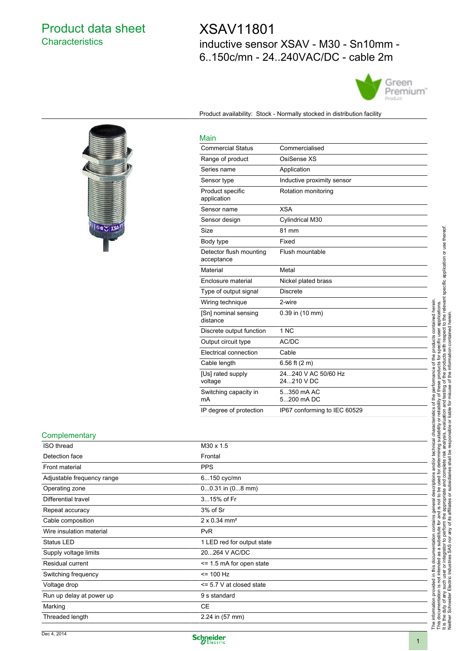## Product data sheet **Characteristics**

I GOY XSA

# XSAV11801 inductive sensor XSAV - M30 - Sn10mm - 6..150c/mn - 24..240VAC/DC - cable 2m



Product availability: Stock - Normally stocked in distribution facility

# Main

| <b>Commercial Status</b>              | Commercialised                    |
|---------------------------------------|-----------------------------------|
| Range of product                      | OsiSense XS                       |
| Series name                           | Application                       |
| Sensor type                           | Inductive proximity sensor        |
| Product specific<br>application       | Rotation monitoring               |
| Sensor name                           | <b>XSA</b>                        |
| Sensor design                         | Cylindrical M30                   |
| Size                                  | 81 mm                             |
| Body type                             | Fixed                             |
| Detector flush mounting<br>acceptance | Flush mountable                   |
| Material                              | Metal                             |
| Enclosure material                    | Nickel plated brass               |
| Type of output signal                 | <b>Discrete</b>                   |
| Wiring technique                      | 2-wire                            |
| [Sn] nominal sensing<br>distance      | 0.39 in (10 mm)                   |
| Discrete output function              | 1 NC                              |
| Output circuit type                   | AC/DC                             |
| Electrical connection                 | Cable                             |
| Cable length                          | 6.56 ft $(2 m)$                   |
| [Us] rated supply<br>voltage          | 24240 V AC 50/60 Hz<br>24210 V DC |
| Switching capacity in<br>mA           | 5350 mA AC<br>5200 mA DC          |
| IP degree of protection               | IP67 conforming to IEC 60529      |

#### **Complementary**

| ISO thread                 | M30 x 1.5                       |  |
|----------------------------|---------------------------------|--|
| Detection face             | Frontal                         |  |
| Front material             | <b>PPS</b>                      |  |
| Adjustable frequency range | 6150 cyc/mn                     |  |
| Operating zone             | $00.31$ in $(08$ mm)            |  |
| Differential travel        | 315% of Fr                      |  |
| Repeat accuracy            | 3% of Sr                        |  |
| Cable composition          | $2 \times 0.34$ mm <sup>2</sup> |  |
| Wire insulation material   | <b>PvR</b>                      |  |
| Status LED                 | 1 LED red for output state      |  |
| Supply voltage limits      | 20264 V AC/DC                   |  |
| Residual current           | $\le$ 1.5 mA for open state     |  |
| Switching frequency        | $= 100$ Hz                      |  |
| Voltage drop               | $\le$ 5.7 V at closed state     |  |
| Run up delay at power up   | 9 s standard                    |  |
| Marking                    | <b>CE</b>                       |  |
| Threaded length            | $2.24$ in (57 mm)               |  |